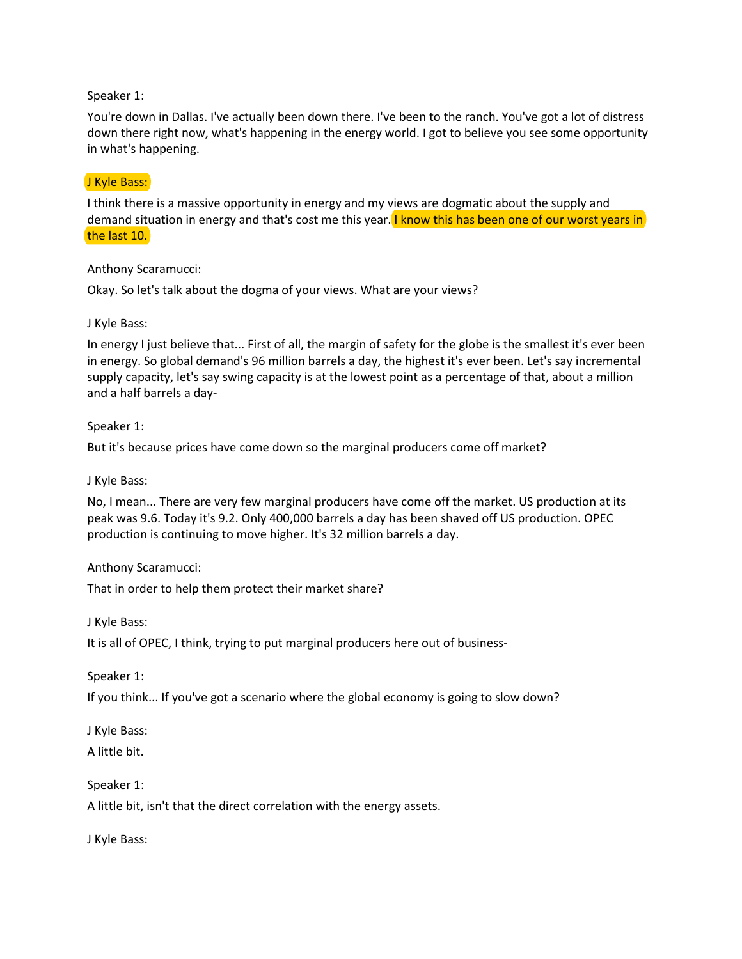## Speaker 1:

You're down in Dallas. I've actually been down there. I've been to the ranch. You've got a lot of distress down there right now, what's happening in the energy world. I got to believe you see some opportunity in what's happening.

## J Kyle Bass:

I think there is a massive opportunity in energy and my views are dogmatic about the supply and demand situation in energy and that's cost me this year. I know this has been one of our worst years in the last 10.

### Anthony Scaramucci:

Okay. So let's talk about the dogma of your views. What are your views?

### J Kyle Bass:

In energy I just believe that... First of all, the margin of safety for the globe is the smallest it's ever been in energy. So global demand's 96 million barrels a day, the highest it's ever been. Let's say incremental supply capacity, let's say swing capacity is at the lowest point as a percentage of that, about a million and a half barrels a day-

### Speaker 1:

But it's because prices have come down so the marginal producers come off market?

#### J Kyle Bass:

No, I mean... There are very few marginal producers have come off the market. US production at its peak was 9.6. Today it's 9.2. Only 400,000 barrels a day has been shaved off US production. OPEC production is continuing to move higher. It's 32 million barrels a day.

#### Anthony Scaramucci:

That in order to help them protect their market share?

J Kyle Bass:

It is all of OPEC, I think, trying to put marginal producers here out of business-

Speaker 1:

If you think... If you've got a scenario where the global economy is going to slow down?

J Kyle Bass:

A little bit.

Speaker 1:

A little bit, isn't that the direct correlation with the energy assets.

J Kyle Bass: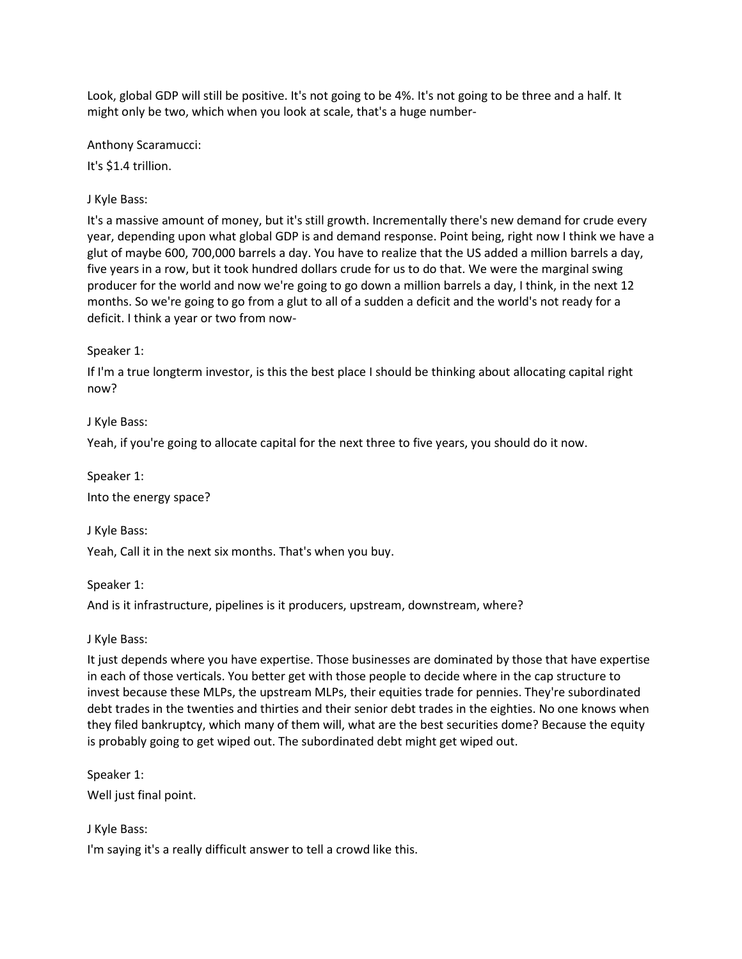Look, global GDP will still be positive. It's not going to be 4%. It's not going to be three and a half. It might only be two, which when you look at scale, that's a huge number-

Anthony Scaramucci:

It's \$1.4 trillion.

J Kyle Bass:

It's a massive amount of money, but it's still growth. Incrementally there's new demand for crude every year, depending upon what global GDP is and demand response. Point being, right now I think we have a glut of maybe 600, 700,000 barrels a day. You have to realize that the US added a million barrels a day, five years in a row, but it took hundred dollars crude for us to do that. We were the marginal swing producer for the world and now we're going to go down a million barrels a day, I think, in the next 12 months. So we're going to go from a glut to all of a sudden a deficit and the world's not ready for a deficit. I think a year or two from now-

Speaker 1:

If I'm a true longterm investor, is this the best place I should be thinking about allocating capital right now?

J Kyle Bass:

Yeah, if you're going to allocate capital for the next three to five years, you should do it now.

Speaker 1:

Into the energy space?

J Kyle Bass:

Yeah, Call it in the next six months. That's when you buy.

Speaker 1:

And is it infrastructure, pipelines is it producers, upstream, downstream, where?

J Kyle Bass:

It just depends where you have expertise. Those businesses are dominated by those that have expertise in each of those verticals. You better get with those people to decide where in the cap structure to invest because these MLPs, the upstream MLPs, their equities trade for pennies. They're subordinated debt trades in the twenties and thirties and their senior debt trades in the eighties. No one knows when they filed bankruptcy, which many of them will, what are the best securities dome? Because the equity is probably going to get wiped out. The subordinated debt might get wiped out.

Speaker 1:

Well just final point.

J Kyle Bass:

I'm saying it's a really difficult answer to tell a crowd like this.